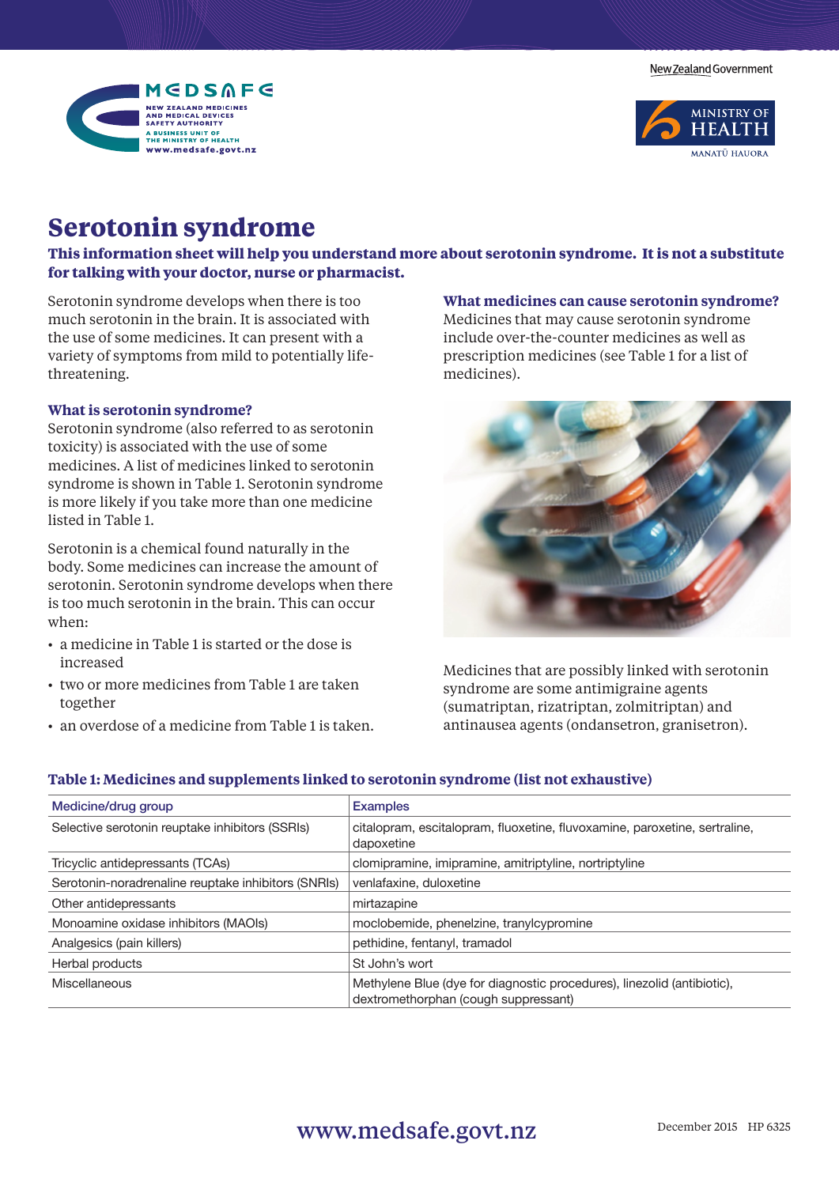New Zealand Government





# **Serotonin syndrome**

**This information sheet will help you understand more about serotonin syndrome. It is not a substitute for talking with your doctor, nurse or pharmacist.** 

Serotonin syndrome develops when there is too much serotonin in the brain. It is associated with the use of some medicines. It can present with a variety of symptoms from mild to potentially lifethreatening.

## **What is serotonin syndrome?**

Serotonin syndrome (also referred to as serotonin toxicity) is associated with the use of some medicines. A list of medicines linked to serotonin syndrome is shown in Table 1. Serotonin syndrome is more likely if you take more than one medicine listed in Table 1.

Serotonin is a chemical found naturally in the body. Some medicines can increase the amount of serotonin. Serotonin syndrome develops when there is too much serotonin in the brain. This can occur when:

- a medicine in Table 1 is started or the dose is increased
- two or more medicines from Table 1 are taken together
- an overdose of a medicine from Table 1 is taken.

# **What medicines can cause serotonin syndrome?**

Medicines that may cause serotonin syndrome include over-the-counter medicines as well as prescription medicines (see Table 1 for a list of medicines).



Medicines that are possibly linked with serotonin syndrome are some antimigraine agents (sumatriptan, rizatriptan, zolmitriptan) and antinausea agents (ondansetron, granisetron).

# **Table 1: Medicines and supplements linked to serotonin syndrome (list not exhaustive)**

| Medicine/drug group                                 | <b>Examples</b>                                                                                                 |
|-----------------------------------------------------|-----------------------------------------------------------------------------------------------------------------|
| Selective serotonin reuptake inhibitors (SSRIs)     | citalopram, escitalopram, fluoxetine, fluvoxamine, paroxetine, sertraline,<br>dapoxetine                        |
| Tricyclic antidepressants (TCAs)                    | clomipramine, imipramine, amitriptyline, nortriptyline                                                          |
| Serotonin-noradrenaline reuptake inhibitors (SNRIs) | venlafaxine, duloxetine                                                                                         |
| Other antidepressants                               | mirtazapine                                                                                                     |
| Monoamine oxidase inhibitors (MAOIs)                | moclobemide, phenelzine, tranylcypromine                                                                        |
| Analgesics (pain killers)                           | pethidine, fentanyl, tramadol                                                                                   |
| Herbal products                                     | St John's wort                                                                                                  |
| <b>Miscellaneous</b>                                | Methylene Blue (dye for diagnostic procedures), linezolid (antibiotic),<br>dextromethorphan (cough suppressant) |